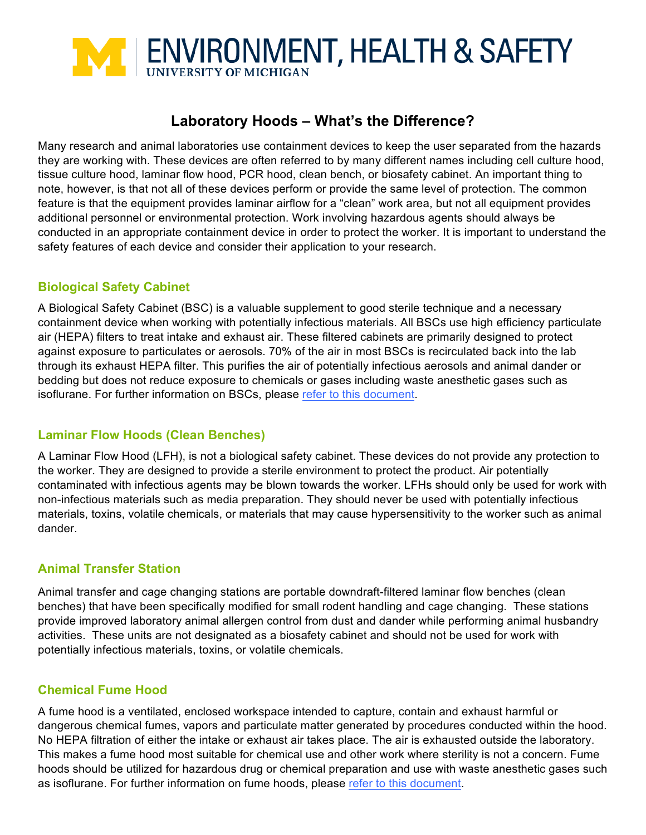

# **Laboratory Hoods – What's the Difference?**

Many research and animal laboratories use containment devices to keep the user separated from the hazards they are working with. These devices are often referred to by many different names including cell culture hood, tissue culture hood, laminar flow hood, PCR hood, clean bench, or biosafety cabinet. An important thing to note, however, is that not all of these devices perform or provide the same level of protection. The common feature is that the equipment provides laminar airflow for a "clean" work area, but not all equipment provides additional personnel or environmental protection. Work involving hazardous agents should always be conducted in an appropriate containment device in order to protect the worker. It is important to understand the safety features of each device and consider their application to your research.

## **Biological Safety Cabinet**

A Biological Safety Cabinet (BSC) is a valuable supplement to good sterile technique and a necessary containment device when working with potentially infectious materials. All BSCs use high efficiency particulate air (HEPA) filters to treat intake and exhaust air. These filtered cabinets are primarily designed to protect against exposure to particulates or aerosols. 70% of the air in most BSCs is recirculated back into the lab through its exhaust HEPA filter. This purifies the air of potentially infectious aerosols and animal dander or bedding but does not reduce exposure to chemicals or gases including waste anesthetic gases such as isoflurane. For further information on BSCs, please [refer to this document.](http://ehs.umich.edu/wp-content/uploads/sites/37/2016/03/BiosafetyCabinets.docx)

### **Laminar Flow Hoods (Clean Benches)**

A Laminar Flow Hood (LFH), is not a biological safety cabinet. These devices do not provide any protection to the worker. They are designed to provide a sterile environment to protect the product. Air potentially contaminated with infectious agents may be blown towards the worker. LFHs should only be used for work with non-infectious materials such as media preparation. They should never be used with potentially infectious materials, toxins, volatile chemicals, or materials that may cause hypersensitivity to the worker such as animal dander.

### **Animal Transfer Station**

Animal transfer and cage changing stations are portable downdraft-filtered laminar flow benches (clean benches) that have been specifically modified for small rodent handling and cage changing. These stations provide improved laboratory animal allergen control from dust and dander while performing animal husbandry activities. These units are not designated as a biosafety cabinet and should not be used for work with potentially infectious materials, toxins, or volatile chemicals.

### **Chemical Fume Hood**

A fume hood is a ventilated, enclosed workspace intended to capture, contain and exhaust harmful or dangerous chemical fumes, vapors and particulate matter generated by procedures conducted within the hood. No HEPA filtration of either the intake or exhaust air takes place. The air is exhausted outside the laboratory. This makes a fume hood most suitable for chemical use and other work where sterility is not a concern. Fume hoods should be utilized for hazardous drug or chemical preparation and use with waste anesthetic gases such as isoflurane. For further information on fume hoods, please [refer to this document.](http://ehs.umich.edu/research-clinical-safety/equipment-tools/fume-hood-use/)